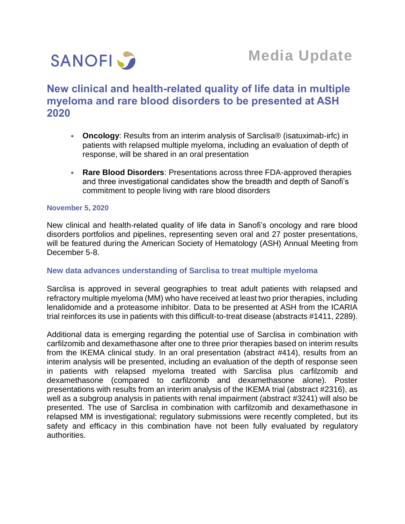

# **New clinical and health-related quality of life data in multiple myeloma and rare blood disorders to be presented at ASH 2020**

- **Oncology**: Results from an interim analysis of Sarclisa® (isatuximab-irfc) in patients with relapsed multiple myeloma, including an evaluation of depth of response, will be shared in an oral presentation
- **Rare Blood Disorders**: Presentations across three FDA-approved therapies and three investigational candidates show the breadth and depth of Sanofi's commitment to people living with rare blood disorders

#### **November 5, 2020**

New clinical and health-related quality of life data in Sanofi's oncology and rare blood disorders portfolios and pipelines, representing seven oral and 27 poster presentations, will be featured during the American Society of Hematology (ASH) Annual Meeting from December 5-8.

#### **New data advances understanding of Sarclisa to treat multiple myeloma**

Sarclisa is approved in several geographies to treat adult patients with relapsed and refractory multiple myeloma (MM) who have received at least two prior therapies, including lenalidomide and a proteasome inhibitor. Data to be presented at ASH from the ICARIA trial reinforces its use in patients with this difficult-to-treat disease (abstracts #1411, 2289).

Additional data is emerging regarding the potential use of Sarclisa in combination with carfilzomib and dexamethasone after one to three prior therapies based on interim results from the IKEMA clinical study. In an oral presentation (abstract #414), results from an interim analysis will be presented, including an evaluation of the depth of response seen in patients with relapsed myeloma treated with Sarclisa plus carfilzomib and dexamethasone (compared to carfilzomib and dexamethasone alone). Poster presentations with results from an interim analysis of the IKEMA trial (abstract #2316), as well as a subgroup analysis in patients with renal impairment (abstract #3241) will also be presented. The use of Sarclisa in combination with carfilzomib and dexamethasone in relapsed MM is investigational; regulatory submissions were recently completed, but its safety and efficacy in this combination have not been fully evaluated by regulatory authorities.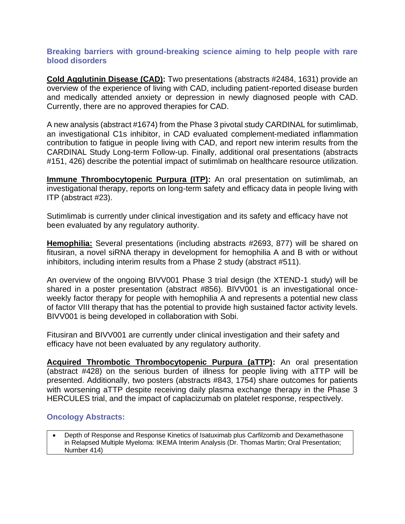## **Breaking barriers with ground-breaking science aiming to help people with rare blood disorders**

**Cold Agglutinin Disease (CAD):** Two presentations (abstracts #2484, 1631) provide an overview of the experience of living with CAD, including patient-reported disease burden and medically attended anxiety or depression in newly diagnosed people with CAD. Currently, there are no approved therapies for CAD.

A new analysis (abstract #1674) from the Phase 3 pivotal study CARDINAL for sutimlimab, an investigational C1s inhibitor, in CAD evaluated complement-mediated inflammation contribution to fatigue in people living with CAD, and report new interim results from the CARDINAL Study Long-term Follow-up. Finally, additional oral presentations (abstracts #151, 426) describe the potential impact of sutimlimab on healthcare resource utilization.

**Immune Thrombocytopenic Purpura (ITP):** An oral presentation on sutimlimab, an investigational therapy, reports on long-term safety and efficacy data in people living with ITP (abstract #23).

Sutimlimab is currently under clinical investigation and its safety and efficacy have not been evaluated by any regulatory authority.

**Hemophilia:** Several presentations (including abstracts #2693, 877) will be shared on fitusiran, a novel siRNA therapy in development for hemophilia A and B with or without inhibitors, including interim results from a Phase 2 study (abstract #511).

An overview of the ongoing BIVV001 Phase 3 trial design (the XTEND-1 study) will be shared in a poster presentation (abstract #856). BIVV001 is an investigational onceweekly factor therapy for people with hemophilia A and represents a potential new class of factor VIII therapy that has the potential to provide high sustained factor activity levels. BIVV001 is being developed in collaboration with Sobi.

Fitusiran and BIVV001 are currently under clinical investigation and their safety and efficacy have not been evaluated by any regulatory authority.

**Acquired Thrombotic Thrombocytopenic Purpura (aTTP):** An oral presentation (abstract #428) on the serious burden of illness for people living with aTTP will be presented. Additionally, two posters (abstracts #843, 1754) share outcomes for patients with worsening aTTP despite receiving daily plasma exchange therapy in the Phase 3 HERCULES trial, and the impact of caplacizumab on platelet response, respectively.

## **Oncology Abstracts:**

• Depth of Response and Response Kinetics of Isatuximab plus Carfilzomib and Dexamethasone in Relapsed Multiple Myeloma: IKEMA Interim Analysis (Dr. Thomas Martin; Oral Presentation; Number 414)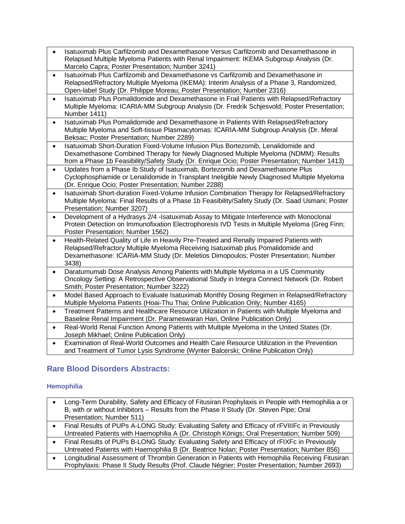- Isatuximab Plus Carfilzomib and Dexamethasone Versus Carfilzomib and Dexamethasone in Relapsed Multiple Myeloma Patients with Renal Impairment: IKEMA Subgroup Analysis (Dr. Marcelo Capra; Poster Presentation; Number 3241)
- Isatuximab Plus Carfilzomib and Dexamethasone vs Carfilzomib and Dexamethasone in Relapsed/Refractory Multiple Myeloma (IKEMA): Interim Analysis of a Phase 3, Randomized, Open-label Study (Dr. Philippe Moreau; Poster Presentation; Number 2316)
- Isatuximab Plus Pomalidomide and Dexamethasone in Frail Patients with Relapsed/Refractory Multiple Myeloma: ICARIA-MM Subgroup Analysis (Dr. Fredrik Schjesvold; Poster Presentation; Number 1411)
- Isatuximab Plus Pomalidomide and Dexamethasone in Patients With Relapsed/Refractory Multiple Myeloma and Soft-tissue Plasmacytomas: ICARIA-MM Subgroup Analysis (Dr. Meral Beksac; Poster Presentation; Number 2289)
- Isatuximab Short-Duration Fixed-Volume Infusion Plus Bortezomib, Lenalidomide and Dexamethasone Combined Therapy for Newly Diagnosed Multiple Myeloma (NDMM): Results from a Phase 1b Feasibility/Safety Study (Dr. Enrique Ocio; Poster Presentation; Number 1413)
- Updates from a Phase Ib Study of Isatuximab, Bortezomib and Dexamethasone Plus Cyclophosphamide or Lenalidomide in Transplant Ineligible Newly Diagnosed Multiple Myeloma (Dr. Enrique Ocio; Poster Presentation; Number 2288)
- Isatuximab Short-duration Fixed-Volume Infusion Combination Therapy for Relapsed/Refractory Multiple Myeloma: Final Results of a Phase 1b Feasibility/Safety Study (Dr. Saad Usmani; Poster Presentation; Number 3207)
- Development of a Hydrasys 2/4 -Isatuximab Assay to Mitigate Interference with Monoclonal Protein Detection on Immunofixation Electrophoresis IVD Tests in Multiple Myeloma (Greg Finn; Poster Presentation; Number 1562)
- Health-Related Quality of Life in Heavily Pre-Treated and Renally Impaired Patients with Relapsed/Refractory Multiple Myeloma Receiving Isatuximab plus Pomalidomide and Dexamethasone: ICARIA-MM Study (Dr. Meletios Dimopoulos; Poster Presentation; Number 3438)
- Daratumumab Dose Analysis Among Patients with Multiple Myeloma in a US Community Oncology Setting: A Retrospective Observational Study in Integra Connect Network (Dr. Robert Smith; Poster Presentation; Number 3222)
- Model Based Approach to Evaluate Isatuximab Monthly Dosing Regimen in Relapsed/Refractory Multiple Myeloma Patients (Hoai-Thu Thai; Online Publication Only; Number 4165)
- Treatment Patterns and Healthcare Resource Utilization in Patients with Multiple Myeloma and Baseline Renal Impairment (Dr. Parameswaran Hari, Online Publication Only)
- Real-World Renal Function Among Patients with Multiple Myeloma in the United States (Dr. Joseph Mikhael; Online Publication Only)
- Examination of Real-World Outcomes and Health Care Resource Utilization in the Prevention and Treatment of Tumor Lysis Syndrome (Wynter Balcerski; Online Publication Only)

## **Rare Blood Disorders Abstracts:**

## **Hemophilia**

- Long-Term Durability, Safety and Efficacy of Fitusiran Prophylaxis in People with Hemophilia a or B, with or without Inhibitors – Results from the Phase II Study (Dr. Steven Pipe; Oral Presentation; Number 511)
- Final Results of PUPs A-LONG Study: Evaluating Safety and Efficacy of rFVIIIFc in Previously Untreated Patients with Haemophilia A (Dr. Christoph Königs; Oral Presentation; Number 509)
- Final Results of PUPs B-LONG Study: Evaluating Safety and Efficacy of rFIXFc in Previously Untreated Patients with Haemophilia B (Dr. Beatrice Nolan; Poster Presentation; Number 856)
- Longitudinal Assessment of Thrombin Generation in Patients with Hemophilia Receiving Fitusiran Prophylaxis: Phase II Study Results (Prof. Claude Négrier; Poster Presentation; Number 2693)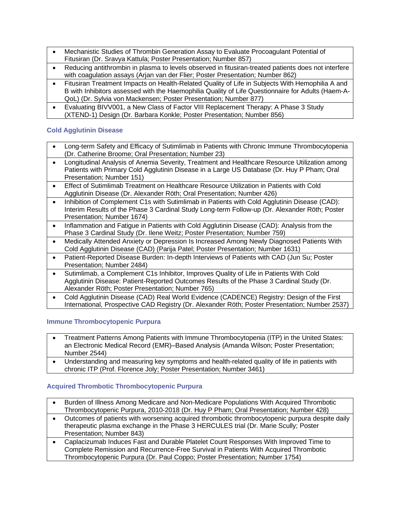- Mechanistic Studies of Thrombin Generation Assay to Evaluate Procoagulant Potential of Fitusiran (Dr. Sravya Kattula; Poster Presentation; Number 857)
- Reducing antithrombin in plasma to levels observed in fitusiran-treated patients does not interfere with coagulation assays (Arjan van der Flier; Poster Presentation; Number 862)
- Fitusiran Treatment Impacts on Health-Related Quality of Life in Subjects With Hemophilia A and B with Inhibitors assessed with the Haemophilia Quality of Life Questionnaire for Adults (Haem-A-QoL) (Dr. Sylvia von Mackensen; Poster Presentation; Number 877)
- Evaluating BIVV001, a New Class of Factor VIII Replacement Therapy: A Phase 3 Study (XTEND-1) Design (Dr. Barbara Konkle; Poster Presentation; Number 856)

#### **Cold Agglutinin Disease**

- Long-term Safety and Efficacy of Sutimlimab in Patients with Chronic Immune Thrombocytopenia (Dr. Catherine Broome; Oral Presentation; Number 23)
- Longitudinal Analysis of Anemia Severity, Treatment and Healthcare Resource Utilization among Patients with Primary Cold Agglutinin Disease in a Large US Database (Dr. Huy P Pham; Oral Presentation; Number 151)
- Effect of Sutimlimab Treatment on Healthcare Resource Utilization in Patients with Cold Agglutinin Disease (Dr. Alexander Röth; Oral Presentation; Number 426)
- Inhibition of Complement C1s with Sutimlimab in Patients with Cold Agglutinin Disease (CAD): Interim Results of the Phase 3 Cardinal Study Long-term Follow-up (Dr. Alexander Röth; Poster Presentation; Number 1674)
- Inflammation and Fatigue in Patients with Cold Agglutinin Disease (CAD): Analysis from the Phase 3 Cardinal Study (Dr. Ilene Weitz; Poster Presentation; Number 759)
- Medically Attended Anxiety or Depression Is Increased Among Newly Diagnosed Patients With Cold Agglutinin Disease (CAD) (Parija Patel; Poster Presentation; Number 1631)
- Patient-Reported Disease Burden: In-depth Interviews of Patients with CAD (Jun Su; Poster Presentation; Number 2484)
- Sutimlimab, a Complement C1s Inhibitor, Improves Quality of Life in Patients With Cold Agglutinin Disease: Patient-Reported Outcomes Results of the Phase 3 Cardinal Study (Dr. Alexander Röth; Poster Presentation; Number 765)
- Cold Agglutinin Disease (CAD) Real World Evidence (CADENCE) Registry: Design of the First International, Prospective CAD Registry (Dr. Alexander Röth; Poster Presentation; Number 2537)

#### **Immune Thrombocytopenic Purpura**

- Treatment Patterns Among Patients with Immune Thrombocytopenia (ITP) in the United States: an Electronic Medical Record (EMR)–Based Analysis (Amanda Wilson; Poster Presentation; Number 2544)
- Understanding and measuring key symptoms and health-related quality of life in patients with chronic ITP (Prof. Florence Joly; Poster Presentation; Number 3461)

#### **Acquired Thrombotic Thrombocytopenic Purpura**

- Burden of Illness Among Medicare and Non-Medicare Populations With Acquired Thrombotic Thrombocytopenic Purpura, 2010-2018 (Dr. Huy P Pham; Oral Presentation; Number 428)
- Outcomes of patients with worsening acquired thrombotic thrombocytopenic purpura despite daily therapeutic plasma exchange in the Phase 3 HERCULES trial (Dr. Marie Scully; Poster Presentation; Number 843)
- Caplacizumab Induces Fast and Durable Platelet Count Responses With Improved Time to Complete Remission and Recurrence-Free Survival in Patients With Acquired Thrombotic Thrombocytopenic Purpura (Dr. Paul Coppo; Poster Presentation; Number 1754)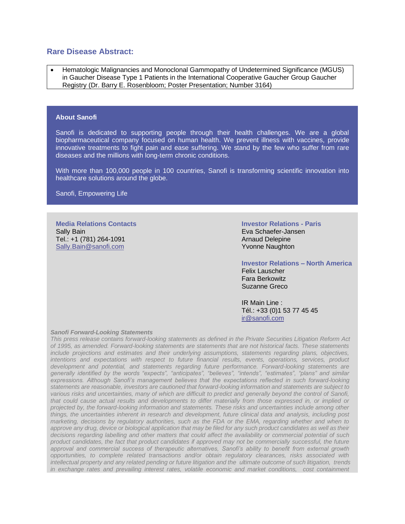#### **Rare Disease Abstract:**

• Hematologic Malignancies and Monoclonal Gammopathy of Undetermined Significance (MGUS) in Gaucher Disease Type 1 Patients in the International Cooperative Gaucher Group Gaucher Registry (Dr. Barry E. Rosenbloom; Poster Presentation; Number 3164)

#### **About Sanofi**

Sanofi is dedicated to supporting people through their health challenges. We are a global biopharmaceutical company focused on human health. We prevent illness with vaccines, provide innovative treatments to fight pain and ease suffering. We stand by the few who suffer from rare diseases and the millions with long-term chronic conditions.

With more than 100,000 people in 100 countries, Sanofi is transforming scientific innovation into healthcare solutions around the globe.

Sanofi, Empowering Life

**Media Relations Contacts** Sally Bain Tel.: +1 (781) 264-1091 [Sally.Bain@sanofi.com](mailto:Sally.Bain@sanofi.com)

**Investor Relations - Paris**

Eva Schaefer-Jansen Arnaud Delepine Yvonne Naughton

**Investor Relations – North America** Felix Lauscher Fara Berkowitz Suzanne Greco

IR Main Line : Tél.: +33 (0)1 53 77 45 45 [ir@sanofi.com](mailto:ir@sanofi.com)

#### *Sanofi Forward-Looking Statements*

*This press release contains forward-looking statements as defined in the Private Securities Litigation Reform Act of 1995, as amended. Forward-looking statements are statements that are not historical facts. These statements include projections and estimates and their underlying assumptions, statements regarding plans, objectives, intentions and expectations with respect to future financial results, events, operations, services, product development and potential, and statements regarding future performance. Forward-looking statements are generally identified by the words "expects", "anticipates", "believes", "intends", "estimates", "plans" and similar expressions. Although Sanofi's management believes that the expectations reflected in such forward-looking statements are reasonable, investors are cautioned that forward-looking information and statements are subject to*  various risks and uncertainties, many of which are difficult to predict and generally beyond the control of Sanofi, *that could cause actual results and developments to differ materially from those expressed in, or implied or projected by, the forward-looking information and statements. These risks and uncertainties include among other things, the uncertainties inherent in research and development, future clinical data and analysis, including post marketing, decisions by regulatory authorities, such as the FDA or the EMA, regarding whether and when to approve any drug, device or biological application that may be filed for any such product candidates as well as their decisions regarding labelling and other matters that could affect the availability or commercial potential of such product candidates, the fact that product candidates if approved may not be commercially successful, the future approval and commercial success of therapeutic alternatives, Sanofi's ability to benefit from external growth opportunities, to complete related transactions and/or obtain regulatory clearances, risks associated with intellectual property and any related pending or future litigation and the ultimate outcome of such litigation, trends in exchange rates and prevailing interest rates, volatile economic and market conditions, cost containment*